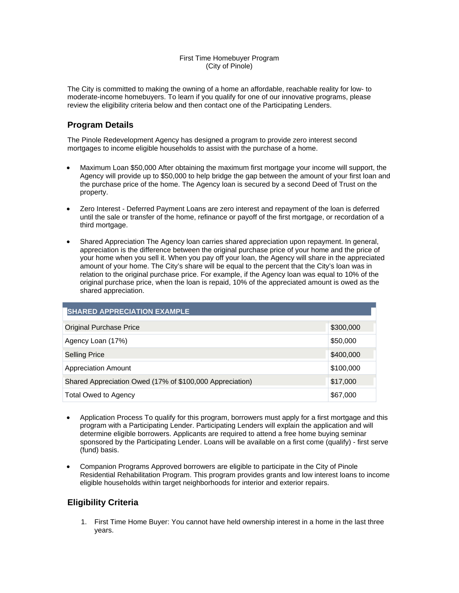#### First Time Homebuyer Program (City of Pinole)

The City is committed to making the owning of a home an affordable, reachable reality for low- to moderate-income homebuyers. To learn if you qualify for one of our innovative programs, please review the eligibility criteria below and then contact one of the Participating Lenders.

## **Program Details**

The Pinole Redevelopment Agency has designed a program to provide zero interest second mortgages to income eligible households to assist with the purchase of a home.

- Maximum Loan \$50,000 After obtaining the maximum first mortgage your income will support, the Agency will provide up to \$50,000 to help bridge the gap between the amount of your first loan and the purchase price of the home. The Agency loan is secured by a second Deed of Trust on the property.
- Zero Interest Deferred Payment Loans are zero interest and repayment of the loan is deferred until the sale or transfer of the home, refinance or payoff of the first mortgage, or recordation of a third mortgage.
- Shared Appreciation The Agency loan carries shared appreciation upon repayment. In general, appreciation is the difference between the original purchase price of your home and the price of your home when you sell it. When you pay off your loan, the Agency will share in the appreciated amount of your home. The City's share will be equal to the percent that the City's loan was in relation to the original purchase price. For example, if the Agency loan was equal to 10% of the original purchase price, when the loan is repaid, 10% of the appreciated amount is owed as the shared appreciation.

| <b>SHARED APPRECIATION EXAMPLE</b>                       |           |  |
|----------------------------------------------------------|-----------|--|
| Original Purchase Price                                  | \$300,000 |  |
| Agency Loan (17%)                                        | \$50,000  |  |
| Selling Price                                            | \$400,000 |  |
| Appreciation Amount                                      | \$100,000 |  |
| Shared Appreciation Owed (17% of \$100,000 Appreciation) | \$17,000  |  |
| <b>Total Owed to Agency</b>                              | \$67,000  |  |

- Application Process To qualify for this program, borrowers must apply for a first mortgage and this program with a Participating Lender. Participating Lenders will explain the application and will determine eligible borrowers. Applicants are required to attend a free home buying seminar sponsored by the Participating Lender. Loans will be available on a first come (qualify) - first serve (fund) basis.
- Companion Programs Approved borrowers are eligible to participate in the City of Pinole Residential Rehabilitation Program. This program provides grants and low interest loans to income eligible households within target neighborhoods for interior and exterior repairs.

# **Eligibility Criteria**

1. First Time Home Buyer: You cannot have held ownership interest in a home in the last three years.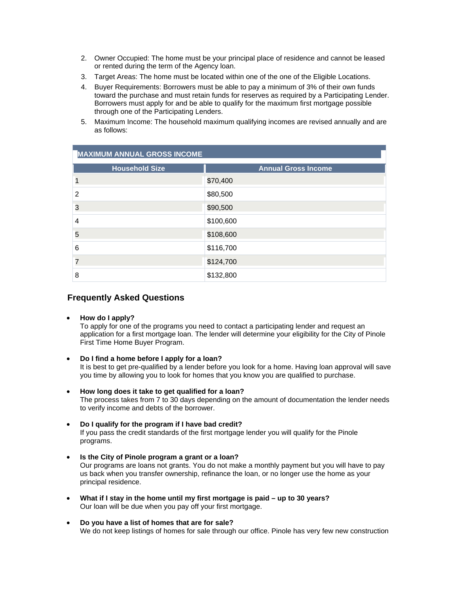- 2. Owner Occupied: The home must be your principal place of residence and cannot be leased or rented during the term of the Agency loan.
- 3. Target Areas: The home must be located within one of the one of the Eligible Locations.
- 4. Buyer Requirements: Borrowers must be able to pay a minimum of 3% of their own funds toward the purchase and must retain funds for reserves as required by a Participating Lender. Borrowers must apply for and be able to qualify for the maximum first mortgage possible through one of the Participating Lenders.
- 5. Maximum Income: The household maximum qualifying incomes are revised annually and are as follows:

| <b>MAXIMUM ANNUAL GROSS INCOME</b> |                            |  |
|------------------------------------|----------------------------|--|
| <b>Household Size</b>              | <b>Annual Gross Income</b> |  |
|                                    | \$70,400                   |  |
| 2                                  | \$80,500                   |  |
| 3                                  | \$90,500                   |  |
| 4                                  | \$100,600                  |  |
| 5                                  | \$108,600                  |  |
| 6                                  | \$116,700                  |  |
| 7                                  | \$124,700                  |  |
| 8                                  | \$132,800                  |  |

## **Frequently Asked Questions**

• **How do I apply?** 

To apply for one of the programs you need to contact a participating lender and request an application for a first mortgage loan. The lender will determine your eligibility for the City of Pinole First Time Home Buyer Program.

- **Do I find a home before I apply for a loan?**  It is best to get pre-qualified by a lender before you look for a home. Having loan approval will save you time by allowing you to look for homes that you know you are qualified to purchase.
- **How long does it take to get qualified for a loan?**  The process takes from 7 to 30 days depending on the amount of documentation the lender needs to verify income and debts of the borrower.
- **Do I qualify for the program if I have bad credit?**  If you pass the credit standards of the first mortgage lender you will qualify for the Pinole programs.
- **Is the City of Pinole program a grant or a loan?**  Our programs are loans not grants. You do not make a monthly payment but you will have to pay us back when you transfer ownership, refinance the loan, or no longer use the home as your principal residence.
- **What if I stay in the home until my first mortgage is paid up to 30 years?**  Our loan will be due when you pay off your first mortgage.
- We do not keep listings of homes for sale through our office. Pinole has very few new construction • **Do you have a list of homes that are for sale?**